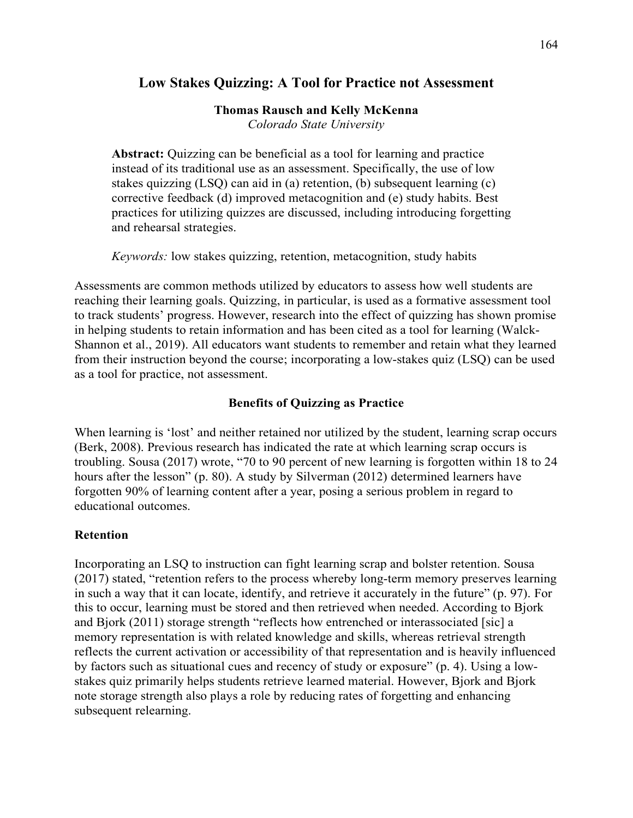# **Low Stakes Quizzing: A Tool for Practice not Assessment**

### **Thomas Rausch and Kelly McKenna**

*Colorado State University* 

**Abstract:** Quizzing can be beneficial as a tool for learning and practice instead of its traditional use as an assessment. Specifically, the use of low stakes quizzing (LSQ) can aid in (a) retention, (b) subsequent learning (c) corrective feedback (d) improved metacognition and (e) study habits. Best practices for utilizing quizzes are discussed, including introducing forgetting and rehearsal strategies.

*Keywords:* low stakes quizzing, retention, metacognition, study habits

Assessments are common methods utilized by educators to assess how well students are reaching their learning goals. Quizzing, in particular, is used as a formative assessment tool to track students' progress. However, research into the effect of quizzing has shown promise in helping students to retain information and has been cited as a tool for learning (Walck-Shannon et al., 2019). All educators want students to remember and retain what they learned from their instruction beyond the course; incorporating a low-stakes quiz (LSQ) can be used as a tool for practice, not assessment.

## **Benefits of Quizzing as Practice**

When learning is 'lost' and neither retained nor utilized by the student, learning scrap occurs (Berk, 2008). Previous research has indicated the rate at which learning scrap occurs is troubling. Sousa (2017) wrote, "70 to 90 percent of new learning is forgotten within 18 to 24 hours after the lesson" (p. 80). A study by Silverman (2012) determined learners have forgotten 90% of learning content after a year, posing a serious problem in regard to educational outcomes.

### **Retention**

Incorporating an LSQ to instruction can fight learning scrap and bolster retention. Sousa (2017) stated, "retention refers to the process whereby long-term memory preserves learning in such a way that it can locate, identify, and retrieve it accurately in the future" (p. 97). For this to occur, learning must be stored and then retrieved when needed. According to Bjork and Bjork (2011) storage strength "reflects how entrenched or interassociated [sic] a memory representation is with related knowledge and skills, whereas retrieval strength reflects the current activation or accessibility of that representation and is heavily influenced by factors such as situational cues and recency of study or exposure" (p. 4). Using a lowstakes quiz primarily helps students retrieve learned material. However, Bjork and Bjork note storage strength also plays a role by reducing rates of forgetting and enhancing subsequent relearning.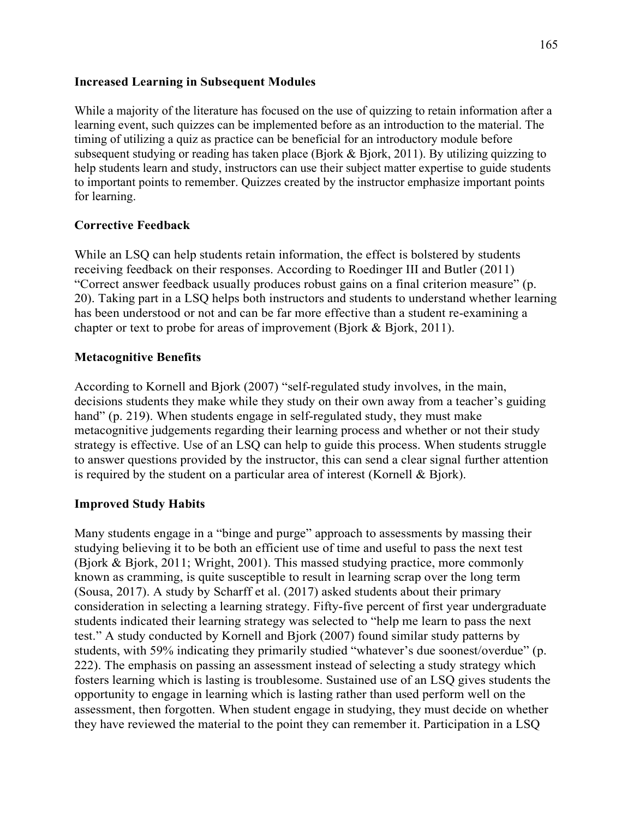### **Increased Learning in Subsequent Modules**

While a majority of the literature has focused on the use of quizzing to retain information after a learning event, such quizzes can be implemented before as an introduction to the material. The timing of utilizing a quiz as practice can be beneficial for an introductory module before subsequent studying or reading has taken place (Bjork & Bjork, 2011). By utilizing quizzing to help students learn and study, instructors can use their subject matter expertise to guide students to important points to remember. Quizzes created by the instructor emphasize important points for learning.

## **Corrective Feedback**

While an LSQ can help students retain information, the effect is bolstered by students receiving feedback on their responses. According to Roedinger III and Butler (2011) "Correct answer feedback usually produces robust gains on a final criterion measure" (p. 20). Taking part in a LSQ helps both instructors and students to understand whether learning has been understood or not and can be far more effective than a student re-examining a chapter or text to probe for areas of improvement (Bjork & Bjork, 2011).

## **Metacognitive Benefits**

According to Kornell and Bjork (2007) "self-regulated study involves, in the main, decisions students they make while they study on their own away from a teacher's guiding hand" (p. 219). When students engage in self-regulated study, they must make metacognitive judgements regarding their learning process and whether or not their study strategy is effective. Use of an LSQ can help to guide this process. When students struggle to answer questions provided by the instructor, this can send a clear signal further attention is required by the student on a particular area of interest (Kornell & Bjork).

## **Improved Study Habits**

Many students engage in a "binge and purge" approach to assessments by massing their studying believing it to be both an efficient use of time and useful to pass the next test (Bjork & Bjork, 2011; Wright, 2001). This massed studying practice, more commonly known as cramming, is quite susceptible to result in learning scrap over the long term (Sousa, 2017). A study by Scharff et al. (2017) asked students about their primary consideration in selecting a learning strategy. Fifty-five percent of first year undergraduate students indicated their learning strategy was selected to "help me learn to pass the next test." A study conducted by Kornell and Bjork (2007) found similar study patterns by students, with 59% indicating they primarily studied "whatever's due soonest/overdue" (p. 222). The emphasis on passing an assessment instead of selecting a study strategy which fosters learning which is lasting is troublesome. Sustained use of an LSQ gives students the opportunity to engage in learning which is lasting rather than used perform well on the assessment, then forgotten. When student engage in studying, they must decide on whether they have reviewed the material to the point they can remember it. Participation in a LSQ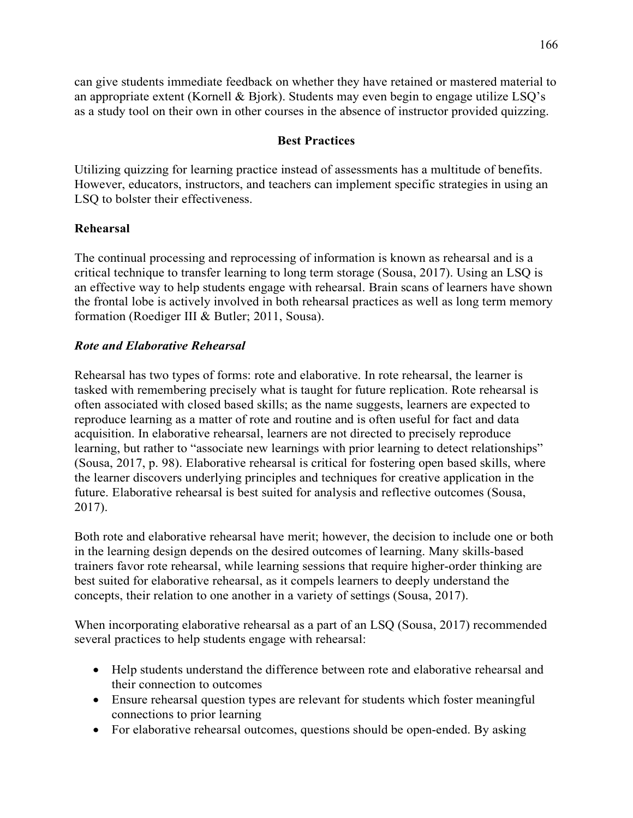can give students immediate feedback on whether they have retained or mastered material to an appropriate extent (Kornell & Bjork). Students may even begin to engage utilize LSQ's as a study tool on their own in other courses in the absence of instructor provided quizzing.

### **Best Practices**

Utilizing quizzing for learning practice instead of assessments has a multitude of benefits. However, educators, instructors, and teachers can implement specific strategies in using an LSQ to bolster their effectiveness.

#### **Rehearsal**

The continual processing and reprocessing of information is known as rehearsal and is a critical technique to transfer learning to long term storage (Sousa, 2017). Using an LSQ is an effective way to help students engage with rehearsal. Brain scans of learners have shown the frontal lobe is actively involved in both rehearsal practices as well as long term memory formation (Roediger III & Butler; 2011, Sousa).

#### *Rote and Elaborative Rehearsal*

Rehearsal has two types of forms: rote and elaborative. In rote rehearsal, the learner is tasked with remembering precisely what is taught for future replication. Rote rehearsal is often associated with closed based skills; as the name suggests, learners are expected to reproduce learning as a matter of rote and routine and is often useful for fact and data acquisition. In elaborative rehearsal, learners are not directed to precisely reproduce learning, but rather to "associate new learnings with prior learning to detect relationships" (Sousa, 2017, p. 98). Elaborative rehearsal is critical for fostering open based skills, where the learner discovers underlying principles and techniques for creative application in the future. Elaborative rehearsal is best suited for analysis and reflective outcomes (Sousa, 2017).

Both rote and elaborative rehearsal have merit; however, the decision to include one or both in the learning design depends on the desired outcomes of learning. Many skills-based trainers favor rote rehearsal, while learning sessions that require higher-order thinking are best suited for elaborative rehearsal, as it compels learners to deeply understand the concepts, their relation to one another in a variety of settings (Sousa, 2017).

When incorporating elaborative rehearsal as a part of an LSQ (Sousa, 2017) recommended several practices to help students engage with rehearsal:

- Help students understand the difference between rote and elaborative rehearsal and their connection to outcomes
- Ensure rehearsal question types are relevant for students which foster meaningful connections to prior learning
- For elaborative rehearsal outcomes, questions should be open-ended. By asking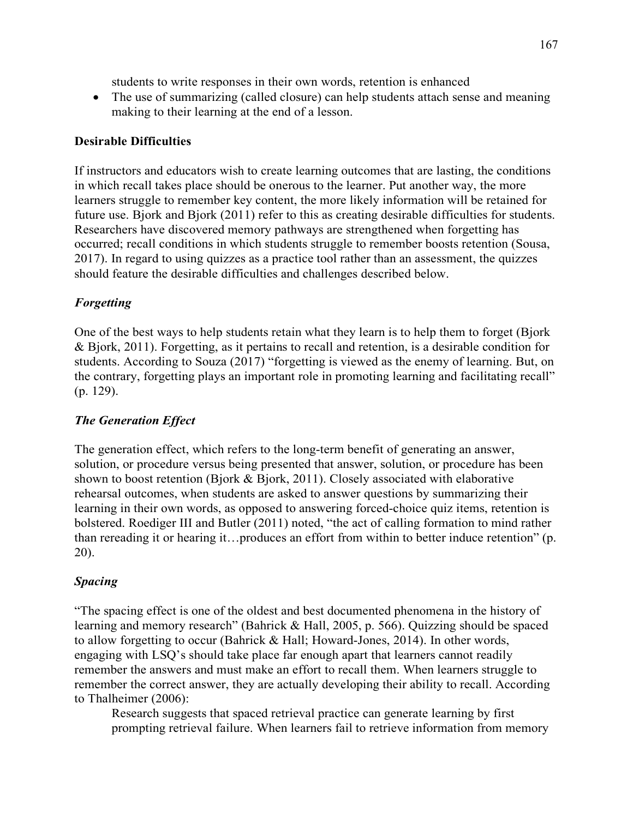students to write responses in their own words, retention is enhanced

• The use of summarizing (called closure) can help students attach sense and meaning making to their learning at the end of a lesson.

### **Desirable Difficulties**

If instructors and educators wish to create learning outcomes that are lasting, the conditions in which recall takes place should be onerous to the learner. Put another way, the more learners struggle to remember key content, the more likely information will be retained for future use. Bjork and Bjork (2011) refer to this as creating desirable difficulties for students. Researchers have discovered memory pathways are strengthened when forgetting has occurred; recall conditions in which students struggle to remember boosts retention (Sousa, 2017). In regard to using quizzes as a practice tool rather than an assessment, the quizzes should feature the desirable difficulties and challenges described below.

## *Forgetting*

One of the best ways to help students retain what they learn is to help them to forget (Bjork & Bjork, 2011). Forgetting, as it pertains to recall and retention, is a desirable condition for students. According to Souza (2017) "forgetting is viewed as the enemy of learning. But, on the contrary, forgetting plays an important role in promoting learning and facilitating recall" (p. 129).

### *The Generation Effect*

The generation effect, which refers to the long-term benefit of generating an answer, solution, or procedure versus being presented that answer, solution, or procedure has been shown to boost retention (Bjork & Bjork, 2011). Closely associated with elaborative rehearsal outcomes, when students are asked to answer questions by summarizing their learning in their own words, as opposed to answering forced-choice quiz items, retention is bolstered. Roediger III and Butler (2011) noted, "the act of calling formation to mind rather than rereading it or hearing it…produces an effort from within to better induce retention" (p. 20).

### *Spacing*

"The spacing effect is one of the oldest and best documented phenomena in the history of learning and memory research" (Bahrick & Hall, 2005, p. 566). Quizzing should be spaced to allow forgetting to occur (Bahrick & Hall; Howard-Jones, 2014). In other words, engaging with LSQ's should take place far enough apart that learners cannot readily remember the answers and must make an effort to recall them. When learners struggle to remember the correct answer, they are actually developing their ability to recall. According to Thalheimer (2006):

Research suggests that spaced retrieval practice can generate learning by first prompting retrieval failure. When learners fail to retrieve information from memory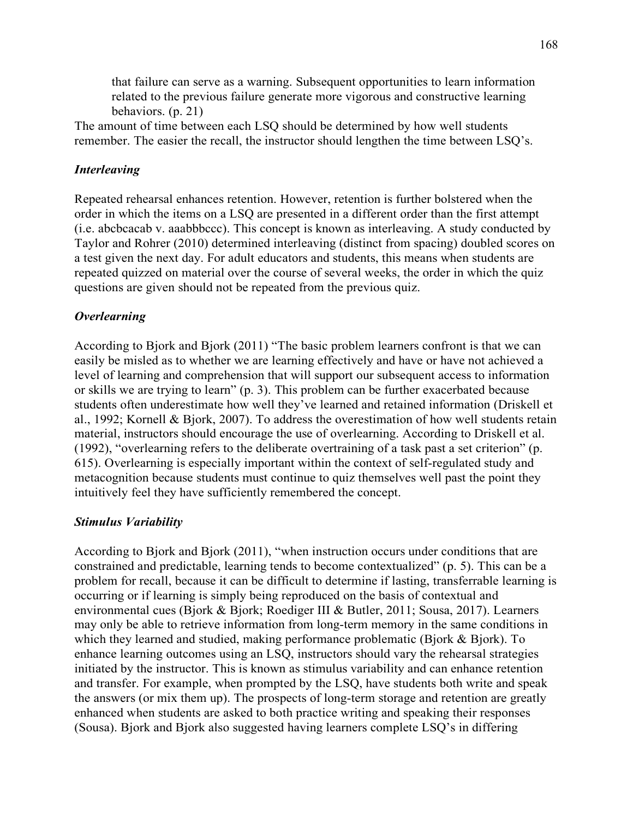that failure can serve as a warning. Subsequent opportunities to learn information related to the previous failure generate more vigorous and constructive learning behaviors. (p. 21)

The amount of time between each LSQ should be determined by how well students remember. The easier the recall, the instructor should lengthen the time between LSQ's.

### *Interleaving*

Repeated rehearsal enhances retention. However, retention is further bolstered when the order in which the items on a LSQ are presented in a different order than the first attempt (i.e. abcbcacab v. aaabbbccc). This concept is known as interleaving. A study conducted by Taylor and Rohrer (2010) determined interleaving (distinct from spacing) doubled scores on a test given the next day. For adult educators and students, this means when students are repeated quizzed on material over the course of several weeks, the order in which the quiz questions are given should not be repeated from the previous quiz.

#### *Overlearning*

According to Bjork and Bjork (2011) "The basic problem learners confront is that we can easily be misled as to whether we are learning effectively and have or have not achieved a level of learning and comprehension that will support our subsequent access to information or skills we are trying to learn" (p. 3). This problem can be further exacerbated because students often underestimate how well they've learned and retained information (Driskell et al., 1992; Kornell & Bjork, 2007). To address the overestimation of how well students retain material, instructors should encourage the use of overlearning. According to Driskell et al. (1992), "overlearning refers to the deliberate overtraining of a task past a set criterion" (p. 615). Overlearning is especially important within the context of self-regulated study and metacognition because students must continue to quiz themselves well past the point they intuitively feel they have sufficiently remembered the concept.

#### *Stimulus Variability*

According to Bjork and Bjork (2011), "when instruction occurs under conditions that are constrained and predictable, learning tends to become contextualized" (p. 5). This can be a problem for recall, because it can be difficult to determine if lasting, transferrable learning is occurring or if learning is simply being reproduced on the basis of contextual and environmental cues (Bjork & Bjork; Roediger III & Butler, 2011; Sousa, 2017). Learners may only be able to retrieve information from long-term memory in the same conditions in which they learned and studied, making performance problematic (Bjork & Bjork). To enhance learning outcomes using an LSQ, instructors should vary the rehearsal strategies initiated by the instructor. This is known as stimulus variability and can enhance retention and transfer. For example, when prompted by the LSQ, have students both write and speak the answers (or mix them up). The prospects of long-term storage and retention are greatly enhanced when students are asked to both practice writing and speaking their responses (Sousa). Bjork and Bjork also suggested having learners complete LSQ's in differing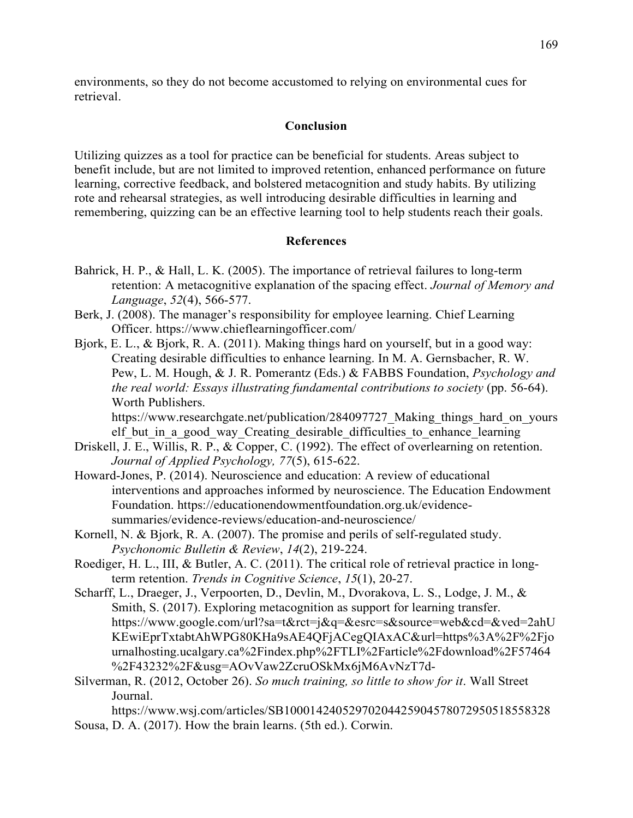environments, so they do not become accustomed to relying on environmental cues for retrieval.

#### **Conclusion**

Utilizing quizzes as a tool for practice can be beneficial for students. Areas subject to benefit include, but are not limited to improved retention, enhanced performance on future learning, corrective feedback, and bolstered metacognition and study habits. By utilizing rote and rehearsal strategies, as well introducing desirable difficulties in learning and remembering, quizzing can be an effective learning tool to help students reach their goals.

#### **References**

- Bahrick, H. P., & Hall, L. K. (2005). The importance of retrieval failures to long-term retention: A metacognitive explanation of the spacing effect. *Journal of Memory and Language*, *52*(4), 566-577.
- Berk, J. (2008). The manager's responsibility for employee learning. Chief Learning Officer. https://www.chieflearningofficer.com/
- Bjork, E. L., & Bjork, R. A. (2011). Making things hard on yourself, but in a good way: Creating desirable difficulties to enhance learning. In M. A. Gernsbacher, R. W. Pew, L. M. Hough, & J. R. Pomerantz (Eds.) & FABBS Foundation, *Psychology and the real world: Essays illustrating fundamental contributions to society* (pp. 56-64). Worth Publishers.

https://www.researchgate.net/publication/284097727\_Making\_things\_hard\_on\_yours elf but in a good way Creating desirable difficulties to enhance learning

- Driskell, J. E., Willis, R. P., & Copper, C. (1992). The effect of overlearning on retention. *Journal of Applied Psychology, 77*(5), 615-622.
- Howard-Jones, P. (2014). Neuroscience and education: A review of educational interventions and approaches informed by neuroscience. The Education Endowment Foundation. https://educationendowmentfoundation.org.uk/evidencesummaries/evidence-reviews/education-and-neuroscience/
- Kornell, N. & Bjork, R. A. (2007). The promise and perils of self-regulated study. *Psychonomic Bulletin & Review*, *14*(2), 219-224.
- Roediger, H. L., III, & Butler, A. C. (2011). The critical role of retrieval practice in longterm retention. *Trends in Cognitive Science*, *15*(1), 20-27.
- Scharff, L., Draeger, J., Verpoorten, D., Devlin, M., Dvorakova, L. S., Lodge, J. M., & Smith, S. (2017). Exploring metacognition as support for learning transfer. https://www.google.com/url?sa=t&rct=j&q=&esrc=s&source=web&cd=&ved=2ahU KEwiEprTxtabtAhWPG80KHa9sAE4QFjACegQIAxAC&url=https%3A%2F%2Fjo urnalhosting.ucalgary.ca%2Findex.php%2FTLI%2Farticle%2Fdownload%2F57464 %2F43232%2F&usg=AOvVaw2ZcruOSkMx6jM6AvNzT7d-
- Silverman, R. (2012, October 26). *So much training, so little to show for it*. Wall Street Journal.

https://www.wsj.com/articles/SB10001424052970204425904578072950518558328 Sousa, D. A. (2017). How the brain learns. (5th ed.). Corwin.